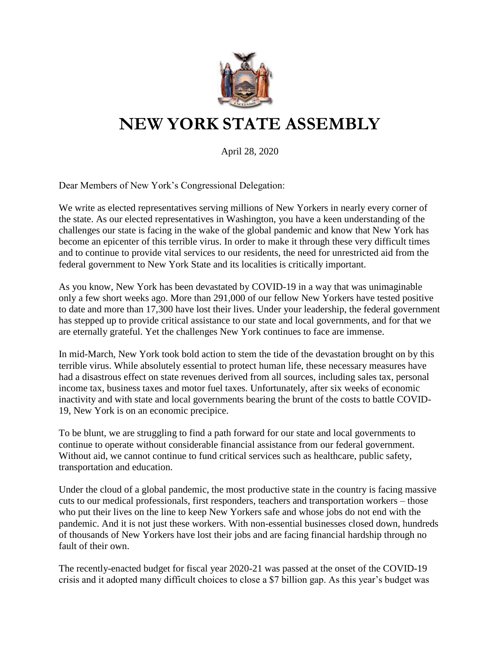

## **NEW YORK STATE ASSEMBLY**

April 28, 2020

Dear Members of New York's Congressional Delegation:

We write as elected representatives serving millions of New Yorkers in nearly every corner of the state. As our elected representatives in Washington, you have a keen understanding of the challenges our state is facing in the wake of the global pandemic and know that New York has become an epicenter of this terrible virus. In order to make it through these very difficult times and to continue to provide vital services to our residents, the need for unrestricted aid from the federal government to New York State and its localities is critically important.

As you know, New York has been devastated by COVID-19 in a way that was unimaginable only a few short weeks ago. More than 291,000 of our fellow New Yorkers have tested positive to date and more than 17,300 have lost their lives. Under your leadership, the federal government has stepped up to provide critical assistance to our state and local governments, and for that we are eternally grateful. Yet the challenges New York continues to face are immense.

In mid-March, New York took bold action to stem the tide of the devastation brought on by this terrible virus. While absolutely essential to protect human life, these necessary measures have had a disastrous effect on state revenues derived from all sources, including sales tax, personal income tax, business taxes and motor fuel taxes. Unfortunately, after six weeks of economic inactivity and with state and local governments bearing the brunt of the costs to battle COVID-19, New York is on an economic precipice.

To be blunt, we are struggling to find a path forward for our state and local governments to continue to operate without considerable financial assistance from our federal government. Without aid, we cannot continue to fund critical services such as healthcare, public safety, transportation and education.

Under the cloud of a global pandemic, the most productive state in the country is facing massive cuts to our medical professionals, first responders, teachers and transportation workers – those who put their lives on the line to keep New Yorkers safe and whose jobs do not end with the pandemic. And it is not just these workers. With non-essential businesses closed down, hundreds of thousands of New Yorkers have lost their jobs and are facing financial hardship through no fault of their own.

The recently-enacted budget for fiscal year 2020-21 was passed at the onset of the COVID-19 crisis and it adopted many difficult choices to close a \$7 billion gap. As this year's budget was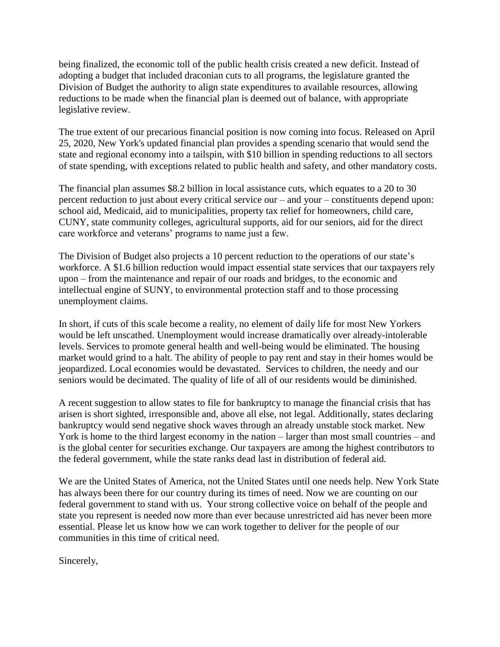being finalized, the economic toll of the public health crisis created a new deficit. Instead of adopting a budget that included draconian cuts to all programs, the legislature granted the Division of Budget the authority to align state expenditures to available resources, allowing reductions to be made when the financial plan is deemed out of balance, with appropriate legislative review.

The true extent of our precarious financial position is now coming into focus. Released on April 25, 2020, New York's updated financial plan provides a spending scenario that would send the state and regional economy into a tailspin, with \$10 billion in spending reductions to all sectors of state spending, with exceptions related to public health and safety, and other mandatory costs.

The financial plan assumes \$8.2 billion in local assistance cuts, which equates to a 20 to 30 percent reduction to just about every critical service our – and your – constituents depend upon: school aid, Medicaid, aid to municipalities, property tax relief for homeowners, child care, CUNY, state community colleges, agricultural supports, aid for our seniors, aid for the direct care workforce and veterans' programs to name just a few.

The Division of Budget also projects a 10 percent reduction to the operations of our state's workforce. A \$1.6 billion reduction would impact essential state services that our taxpayers rely upon – from the maintenance and repair of our roads and bridges, to the economic and intellectual engine of SUNY, to environmental protection staff and to those processing unemployment claims.

In short, if cuts of this scale become a reality, no element of daily life for most New Yorkers would be left unscathed. Unemployment would increase dramatically over already-intolerable levels. Services to promote general health and well-being would be eliminated. The housing market would grind to a halt. The ability of people to pay rent and stay in their homes would be jeopardized. Local economies would be devastated. Services to children, the needy and our seniors would be decimated. The quality of life of all of our residents would be diminished.

A recent suggestion to allow states to file for bankruptcy to manage the financial crisis that has arisen is short sighted, irresponsible and, above all else, not legal. Additionally, states declaring bankruptcy would send negative shock waves through an already unstable stock market. New York is home to the third largest economy in the nation – larger than most small countries – and is the global center for securities exchange. Our taxpayers are among the highest contributors to the federal government, while the state ranks dead last in distribution of federal aid.

We are the United States of America, not the United States until one needs help. New York State has always been there for our country during its times of need. Now we are counting on our federal government to stand with us. Your strong collective voice on behalf of the people and state you represent is needed now more than ever because unrestricted aid has never been more essential. Please let us know how we can work together to deliver for the people of our communities in this time of critical need.

Sincerely,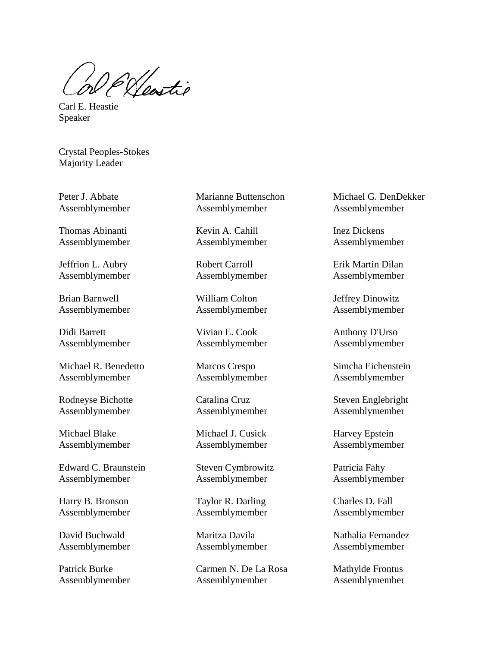De Nextie

Carl E. Heastie Speaker

Crystal Peoples-Stokes Majority Leader

Peter J. Abbate Assemblymember

Thomas Abinanti Assemblymember

Jeffrion L. Aubry Assemblymember

Brian Barnwell Assemblymember

Didi Barrett Assemblymember

Michael R. Benedetto Assemblymember

Rodneyse Bichotte Assemblymember

Michael Blake Assemblymember

Edward C. Braunstein Assemblymember

Harry B. Bronson Assemblymember

David Buchwald Assemblymember

Patrick Burke Assemblymember Marianne Buttenschon Assemblymember

Kevin A. Cahill Assemblymember

Robert Carroll Assemblymember

William Colton Assemblymember

Vivian E. Cook Assemblymember

Marcos Crespo Assemblymember

Catalina Cruz Assemblymember

Michael J. Cusick Assemblymember

Steven Cymbrowitz Assemblymember

Taylor R. Darling Assemblymember

Maritza Davila Assemblymember

Carmen N. De La Rosa Assemblymember

Michael G. DenDekker Assemblymember

Inez Dickens Assemblymember

Erik Martin Dilan Assemblymember

Jeffrey Dinowitz Assemblymember

Anthony D'Urso Assemblymember

Simcha Eichenstein Assemblymember

Steven Englebright Assemblymember

Harvey Epstein Assemblymember

Patricia Fahy Assemblymember

Charles D. Fall Assemblymember

Nathalia Fernandez Assemblymember

Mathylde Frontus Assemblymember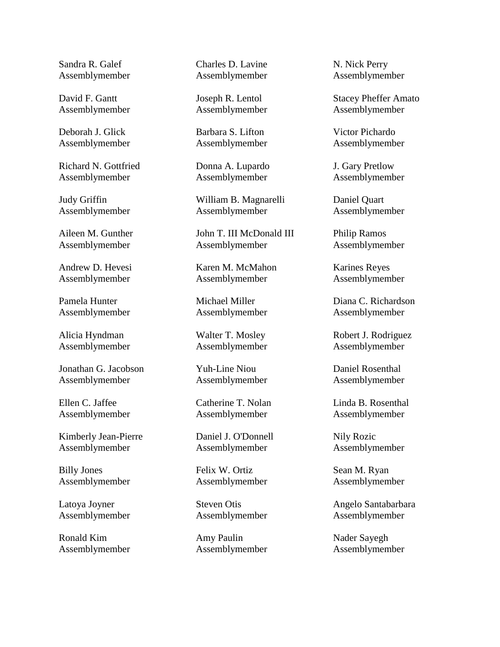Sandra R. Galef Assemblymember

David F. Gantt Assemblymember

Deborah J. Glick Assemblymember

Richard N. Gottfried Assemblymember

Judy Griffin Assemblymember

Aileen M. Gunther Assemblymember

Andrew D. Hevesi Assemblymember

Pamela Hunter Assemblymember

Alicia Hyndman Assemblymember

Jonathan G. Jacobson Assemblymember

Ellen C. Jaffee Assemblymember

Kimberly Jean-Pierre Assemblymember

Billy Jones Assemblymember

Latoya Joyner Assemblymember

Ronald Kim Assemblymember Charles D. Lavine Assemblymember

Joseph R. Lentol Assemblymember

Barbara S. Lifton Assemblymember

Donna A. Lupardo Assemblymember

William B. Magnarelli Assemblymember

John T. III McDonald III Assemblymember

Karen M. McMahon Assemblymember

Michael Miller Assemblymember

Walter T. Mosley Assemblymember

Yuh-Line Niou Assemblymember

Catherine T. Nolan Assemblymember

Daniel J. O'Donnell Assemblymember

Felix W. Ortiz Assemblymember

Steven Otis Assemblymember

Amy Paulin Assemblymember N. Nick Perry Assemblymember

Stacey Pheffer Amato Assemblymember

Victor Pichardo Assemblymember

J. Gary Pretlow Assemblymember

Daniel Quart Assemblymember

Philip Ramos Assemblymember

Karines Reyes Assemblymember

Diana C. Richardson Assemblymember

Robert J. Rodriguez Assemblymember

Daniel Rosenthal Assemblymember

Linda B. Rosenthal Assemblymember

Nily Rozic Assemblymember

Sean M. Ryan Assemblymember

Angelo Santabarbara Assemblymember

Nader Sayegh Assemblymember